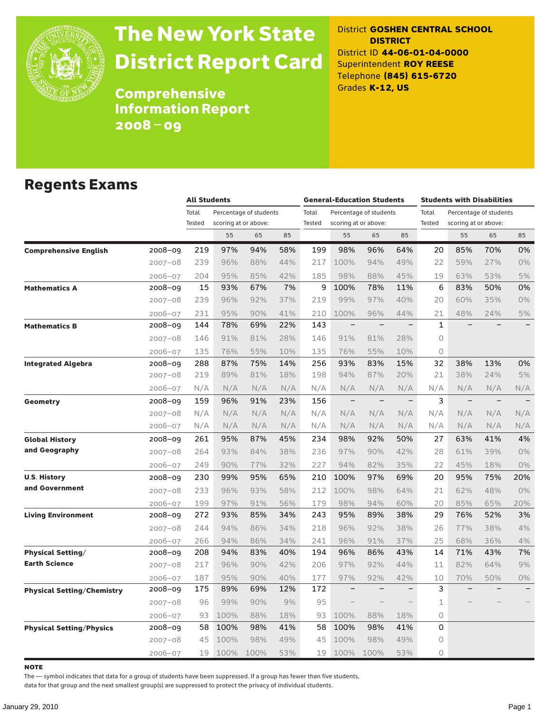

# The New York State District Report Card

District **GOSHEN CENTRAL SCHOOL DISTRICT** District ID **44-06-01-04-0000** Superintendent **ROY REESE** Telephone **(845) 615-6720** Grades **K-12, US**

**Comprehensive** Information Report 2008–09

### Regents Exams

|                                   |             |                 | <b>All Students</b>  |                        |     |                 | <b>General-Education Students</b> |                          |                          |                 | <b>Students with Disabilities</b>              |                          |                          |  |
|-----------------------------------|-------------|-----------------|----------------------|------------------------|-----|-----------------|-----------------------------------|--------------------------|--------------------------|-----------------|------------------------------------------------|--------------------------|--------------------------|--|
|                                   |             | Total<br>Tested | scoring at or above: | Percentage of students |     | Total<br>Tested | scoring at or above:              | Percentage of students   |                          | Total<br>Tested | Percentage of students<br>scoring at or above: |                          |                          |  |
|                                   |             |                 | 55                   | 65                     | 85  |                 | 55                                | 65                       | 85                       |                 | 55                                             | 65                       | 85                       |  |
| <b>Comprehensive English</b>      | 2008-09     | 219             | 97%                  | 94%                    | 58% | 199             | 98%                               | 96%                      | 64%                      | 20              | 85%                                            | 70%                      | 0%                       |  |
|                                   | $2007 - 08$ | 239             | 96%                  | 88%                    | 44% | 217             | 100%                              | 94%                      | 49%                      | 22              | 59%                                            | 27%                      | 0%                       |  |
|                                   | $2006 - 07$ | 204             | 95%                  | 85%                    | 42% | 185             | 98%                               | 88%                      | 45%                      | 19              | 63%                                            | 53%                      | 5%                       |  |
| <b>Mathematics A</b>              | 2008-09     | 15              | 93%                  | 67%                    | 7%  | 9               | 100%                              | 78%                      | 11%                      | 6               | 83%                                            | 50%                      | 0%                       |  |
|                                   | $2007 - 08$ | 239             | 96%                  | 92%                    | 37% | 219             | 99%                               | 97%                      | 40%                      | 20              | 60%                                            | 35%                      | 0%                       |  |
|                                   | $2006 - 07$ | 231             | 95%                  | 90%                    | 41% | 210             | 100%                              | 96%                      | 44%                      | 21              | 48%                                            | 24%                      | 5%                       |  |
| <b>Mathematics B</b>              | 2008-09     | 144             | 78%                  | 69%                    | 22% | 143             | $\qquad \qquad -$                 | $\overline{\phantom{0}}$ | $\overline{\phantom{0}}$ | $\mathbf{1}$    |                                                |                          | $\overline{\phantom{0}}$ |  |
|                                   | $2007 - 08$ | 146             | 91%                  | 81%                    | 28% | 146             | 91%                               | 81%                      | 28%                      | 0               |                                                |                          |                          |  |
|                                   | $2006 - 07$ | 135             | 76%                  | 55%                    | 10% | 135             | 76%                               | 55%                      | 10%                      | $\circ$         |                                                |                          |                          |  |
| <b>Integrated Algebra</b>         | 2008-09     | 288             | 87%                  | 75%                    | 14% | 256             | 93%                               | 83%                      | 15%                      | 32              | 38%                                            | 13%                      | 0%                       |  |
|                                   | $2007 - 08$ | 219             | 89%                  | 81%                    | 18% | 198             | 94%                               | 87%                      | 20%                      | 21              | 38%                                            | 24%                      | 5%                       |  |
|                                   | $2006 - 07$ | N/A             | N/A                  | N/A                    | N/A | N/A             | N/A                               | N/A                      | N/A                      | N/A             | N/A                                            | N/A                      | N/A                      |  |
| <b>Geometry</b>                   | 2008-09     | 159             | 96%                  | 91%                    | 23% | 156             | $\qquad \qquad -$                 | $\overline{\phantom{0}}$ | $\qquad \qquad -$        | 3               | $\qquad \qquad -$                              | $\overline{\phantom{m}}$ |                          |  |
|                                   | $2007 - 08$ | N/A             | N/A                  | N/A                    | N/A | N/A             | N/A                               | N/A                      | N/A                      | N/A             | N/A                                            | N/A                      | N/A                      |  |
|                                   | $2006 - 07$ | N/A             | N/A                  | N/A                    | N/A | N/A             | N/A                               | N/A                      | N/A                      | N/A             | N/A                                            | N/A                      | N/A                      |  |
| <b>Global History</b>             | 2008-09     | 261             | 95%                  | 87%                    | 45% | 234             | 98%                               | 92%                      | 50%                      | 27              | 63%                                            | 41%                      | 4%                       |  |
| and Geography                     | $2007 - 08$ | 264             | 93%                  | 84%                    | 38% | 236             | 97%                               | 90%                      | 42%                      | 28              | 61%                                            | 39%                      | 0%                       |  |
|                                   | $2006 - 07$ | 249             | 90%                  | 77%                    | 32% | 227             | 94%                               | 82%                      | 35%                      | 22              | 45%                                            | 18%                      | 0%                       |  |
| <b>U.S. History</b>               | 2008-09     | 230             | 99%                  | 95%                    | 65% | 210             | 100%                              | 97%                      | 69%                      | 20              | 95%                                            | 75%                      | 20%                      |  |
| and Government                    | $2007 - 08$ | 233             | 96%                  | 93%                    | 58% | 212             | 100%                              | 98%                      | 64%                      | 21              | 62%                                            | 48%                      | $0\%$                    |  |
|                                   | $2006 - 07$ | 199             | 97%                  | 91%                    | 56% | 179             | 98%                               | 94%                      | 60%                      | 20              | 85%                                            | 65%                      | 20%                      |  |
| <b>Living Environment</b>         | 2008-09     | 272             | 93%                  | 85%                    | 34% | 243             | 95%                               | 89%                      | 38%                      | 29              | 76%                                            | 52%                      | 3%                       |  |
|                                   | $2007 - 08$ | 244             | 94%                  | 86%                    | 34% | 218             | 96%                               | 92%                      | 38%                      | 26              | 77%                                            | 38%                      | 4%                       |  |
|                                   | $2006 - 07$ | 266             | 94%                  | 86%                    | 34% | 241             | 96%                               | 91%                      | 37%                      | 25              | 68%                                            | 36%                      | 4%                       |  |
| <b>Physical Setting/</b>          | 2008-09     | 208             | 94%                  | 83%                    | 40% | 194             | 96%                               | 86%                      | 43%                      | 14              | 71%                                            | 43%                      | 7%                       |  |
| <b>Earth Science</b>              | $2007 - 08$ | 217             | 96%                  | 90%                    | 42% | 206             | 97%                               | 92%                      | 44%                      | 11              | 82%                                            | 64%                      | 9%                       |  |
|                                   | $2006 - 07$ | 187             | 95%                  | 90%                    | 40% | 177             | 97%                               | 92%                      | 42%                      | 10              | 70%                                            | 50%                      | $0\%$                    |  |
| <b>Physical Setting/Chemistry</b> | 2008-09     | 175             | 89%                  | 69%                    | 12% | 172             | $\qquad \qquad -$                 | $\overline{\phantom{a}}$ | $\qquad \qquad -$        | 3               |                                                |                          | $\overline{\phantom{0}}$ |  |
|                                   | $2007 - 08$ | 96              | 99%                  | 90%                    | 9%  | 95              |                                   |                          |                          | $\mathbf 1$     |                                                |                          |                          |  |
|                                   | $2006 - 07$ | 93              | 100%                 | 88%                    | 18% | 93              | 100%                              | 88%                      | 18%                      | 0               |                                                |                          |                          |  |
| <b>Physical Setting/Physics</b>   | 2008-09     | 58              | 100%                 | 98%                    | 41% | 58              | 100%                              | 98%                      | 41%                      | 0               |                                                |                          |                          |  |
|                                   | $2007 - 08$ | 45              | 100%                 | 98%                    | 49% | 45              | 100%                              | 98%                      | 49%                      | 0               |                                                |                          |                          |  |
|                                   | $2006 - 07$ | 19              | 100%                 | 100%                   | 53% | 19              | 100%                              | 100%                     | 53%                      | 0               |                                                |                          |                          |  |

**NOTE** 

The — symbol indicates that data for a group of students have been suppressed. If a group has fewer than five students,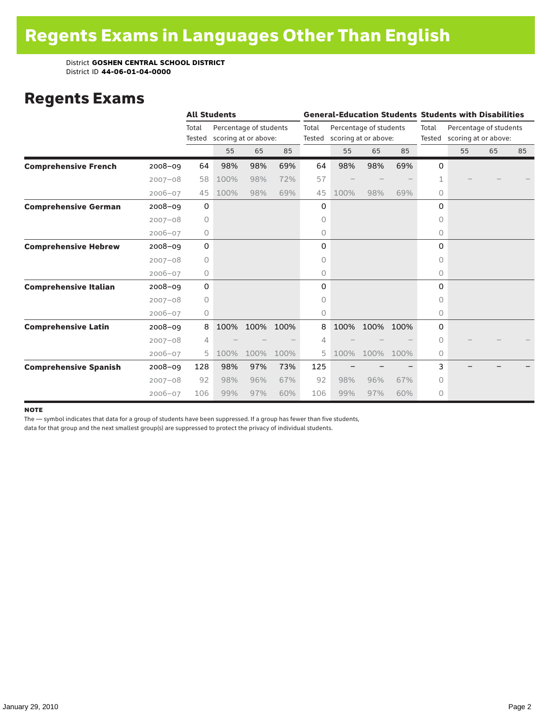### Regents Exams

|                              |             |                 | <b>All Students</b>  |                        |      |       |                             |                        |      |           | <b>General-Education Students Students with Disabilities</b> |    |    |  |
|------------------------------|-------------|-----------------|----------------------|------------------------|------|-------|-----------------------------|------------------------|------|-----------|--------------------------------------------------------------|----|----|--|
|                              |             | Total<br>Tested | scoring at or above: | Percentage of students |      | Total | Tested scoring at or above: | Percentage of students |      | Total     | Percentage of students<br>Tested scoring at or above:        |    |    |  |
|                              |             |                 | 55                   | 65                     | 85   |       | 55                          | 65                     | 85   |           | 55                                                           | 65 | 85 |  |
| <b>Comprehensive French</b>  | $2008 - 09$ | 64              | 98%                  | 98%                    | 69%  | 64    | 98%                         | 98%                    | 69%  | 0         |                                                              |    |    |  |
|                              | $2007 - 08$ | 58              | 100%                 | 98%                    | 72%  | 57    |                             |                        |      | 1         |                                                              |    |    |  |
|                              | $2006 - 07$ | 45              | 100%                 | 98%                    | 69%  | 45    | 100%                        | 98%                    | 69%  | 0         |                                                              |    |    |  |
| <b>Comprehensive German</b>  | $2008 - 09$ | 0               |                      |                        |      | 0     |                             |                        |      | 0         |                                                              |    |    |  |
|                              | $2007 - 08$ | $\circ$         |                      |                        |      | 0     |                             |                        |      | 0         |                                                              |    |    |  |
|                              | $2006 - 07$ | 0               |                      |                        |      | 0     |                             |                        |      | 0         |                                                              |    |    |  |
| <b>Comprehensive Hebrew</b>  | $2008 - 09$ | 0               |                      |                        |      | 0     |                             |                        |      | 0         |                                                              |    |    |  |
|                              | $2007 - 08$ | $\circ$         |                      |                        |      | 0     |                             |                        |      | 0         |                                                              |    |    |  |
|                              | $2006 - 07$ | 0               |                      |                        |      | 0     |                             |                        |      | 0         |                                                              |    |    |  |
| <b>Comprehensive Italian</b> | $2008 - 09$ | 0               |                      |                        |      | 0     |                             |                        |      | 0         |                                                              |    |    |  |
|                              | $2007 - 08$ | 0               |                      |                        |      | 0     |                             |                        |      | 0         |                                                              |    |    |  |
|                              | $2006 - 07$ | 0               |                      |                        |      | 0     |                             |                        |      | $\circ$   |                                                              |    |    |  |
| <b>Comprehensive Latin</b>   | $2008 - 09$ | 8               | 100%                 | 100%                   | 100% | 8     | 100%                        | 100%                   | 100% | 0         |                                                              |    |    |  |
|                              | $2007 - 08$ | 4               |                      |                        |      | 4     |                             |                        |      | $\bigcap$ |                                                              |    |    |  |
|                              | $2006 - 07$ | 5               | 100%                 | 100%                   | 100% | 5     | 100%                        | 100%                   | 100% | 0         |                                                              |    |    |  |
| <b>Comprehensive Spanish</b> | $2008 - 09$ | 128             | 98%                  | 97%                    | 73%  | 125   |                             |                        |      | 3         |                                                              |    |    |  |
|                              | $2007 - 08$ | 92              | 98%                  | 96%                    | 67%  | 92    | 98%                         | 96%                    | 67%  | 0         |                                                              |    |    |  |
|                              | $2006 - 07$ | 106             | 99%                  | 97%                    | 60%  | 106   | 99%                         | 97%                    | 60%  | 0         |                                                              |    |    |  |

### note

The — symbol indicates that data for a group of students have been suppressed. If a group has fewer than five students,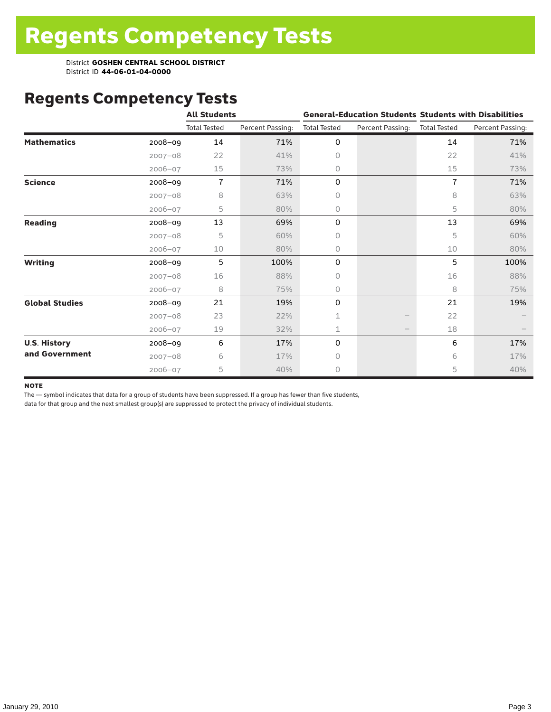# Regents Competency Tests

|                       |             | <b>All Students</b> |                  |                     |                  | <b>General-Education Students Students with Disabilities</b> |                  |  |  |
|-----------------------|-------------|---------------------|------------------|---------------------|------------------|--------------------------------------------------------------|------------------|--|--|
|                       |             | <b>Total Tested</b> | Percent Passing: | <b>Total Tested</b> | Percent Passing: | <b>Total Tested</b>                                          | Percent Passing: |  |  |
| <b>Mathematics</b>    | 2008-09     | 14                  | 71%              | 0                   |                  | 14                                                           | 71%              |  |  |
|                       | $2007 - 08$ | 22                  | 41%              | 0                   |                  | 22                                                           | 41%              |  |  |
|                       | $2006 - 07$ | 15                  | 73%              | 0                   |                  | 15                                                           | 73%              |  |  |
| <b>Science</b>        | 2008-09     | $\overline{1}$      | 71%              | 0                   |                  | 7                                                            | 71%              |  |  |
|                       | $2007 - 08$ | 8                   | 63%              | 0                   |                  | 8                                                            | 63%              |  |  |
|                       | $2006 - 07$ | 5                   | 80%              | 0                   |                  | 5                                                            | 80%              |  |  |
| <b>Reading</b>        | 2008-09     | 13                  | 69%              | 0                   |                  | 13                                                           | 69%              |  |  |
|                       | $2007 - 08$ | 5                   | 60%              | 0                   |                  | 5                                                            | 60%              |  |  |
|                       | $2006 - 07$ | 10                  | 80%              | 0                   |                  | 10                                                           | 80%              |  |  |
| <b>Writing</b>        | 2008-09     | 5                   | 100%             | 0                   |                  | 5                                                            | 100%             |  |  |
|                       | $2007 - 08$ | 16                  | 88%              | 0                   |                  | 16                                                           | 88%              |  |  |
|                       | $2006 - 07$ | 8                   | 75%              | 0                   |                  | 8                                                            | 75%              |  |  |
| <b>Global Studies</b> | 2008-09     | 21                  | 19%              | 0                   |                  | 21                                                           | 19%              |  |  |
|                       | $2007 - 08$ | 23                  | 22%              | 1                   |                  | 22                                                           |                  |  |  |
|                       | $2006 - 07$ | 19                  | 32%              | 1                   |                  | 18                                                           |                  |  |  |
| <b>U.S. History</b>   | 2008-09     | 6                   | 17%              | 0                   |                  | 6                                                            | 17%              |  |  |
| and Government        | $2007 - 08$ | 6                   | 17%              | 0                   |                  | 6                                                            | 17%              |  |  |
|                       | $2006 - 07$ | 5                   | 40%              | 0                   |                  | 5                                                            | 40%              |  |  |

### **NOTE**

The — symbol indicates that data for a group of students have been suppressed. If a group has fewer than five students,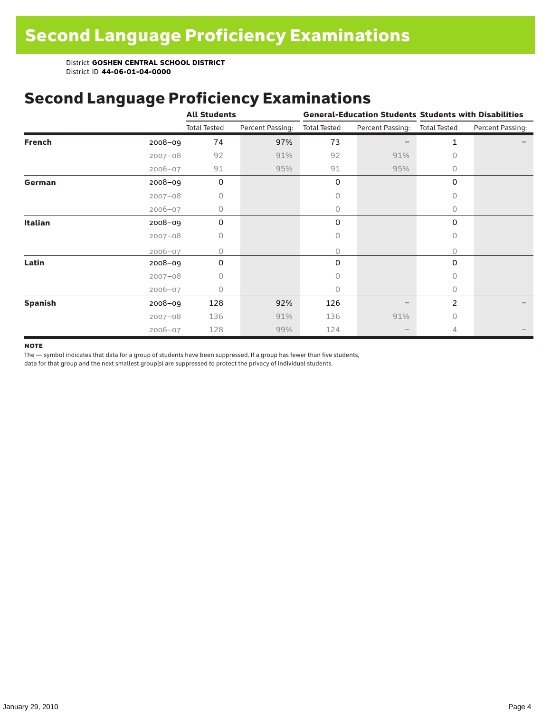### Second Language Proficiency Examinations

|                |             | <b>All Students</b> |                  |                     |                               | <b>General-Education Students Students with Disabilities</b> |                  |  |  |
|----------------|-------------|---------------------|------------------|---------------------|-------------------------------|--------------------------------------------------------------|------------------|--|--|
|                |             | <b>Total Tested</b> | Percent Passing: | <b>Total Tested</b> | Percent Passing: Total Tested |                                                              | Percent Passing: |  |  |
| <b>French</b>  | 2008-09     | 74                  | 97%              | 73                  |                               | $\mathbf{1}$                                                 |                  |  |  |
|                | $2007 - 08$ | 92                  | 91%              | 92                  | 91%                           | 0                                                            |                  |  |  |
|                | $2006 - 07$ | 91                  | 95%              | 91                  | 95%                           | 0                                                            |                  |  |  |
| German         | 2008-09     | 0                   |                  | 0                   |                               | 0                                                            |                  |  |  |
|                | $2007 - 08$ | 0                   |                  | 0                   |                               | 0                                                            |                  |  |  |
|                | $2006 - 07$ | 0                   |                  | 0                   |                               | $\circ$                                                      |                  |  |  |
| Italian        | 2008-09     | $\mathbf 0$         |                  | 0                   |                               | 0                                                            |                  |  |  |
|                | $2007 - 08$ | 0                   |                  | 0                   |                               | 0                                                            |                  |  |  |
|                | $2006 - 07$ | 0                   |                  | 0                   |                               | $\bigcap$                                                    |                  |  |  |
| Latin          | $2008 - 09$ | 0                   |                  | 0                   |                               | 0                                                            |                  |  |  |
|                | $2007 - 08$ | 0                   |                  | 0                   |                               | 0                                                            |                  |  |  |
|                | $2006 - 07$ | 0                   |                  | 0                   |                               | 0                                                            |                  |  |  |
| <b>Spanish</b> | 2008-09     | 128                 | 92%              | 126                 |                               | 2                                                            |                  |  |  |
|                | $2007 - 08$ | 136                 | 91%              | 136                 | 91%                           | $\bigcap$                                                    |                  |  |  |
|                | $2006 - 07$ | 128                 | 99%              | 124                 | $\qquad \qquad -$             | 4                                                            |                  |  |  |

### **NOTE**

The — symbol indicates that data for a group of students have been suppressed. If a group has fewer than five students,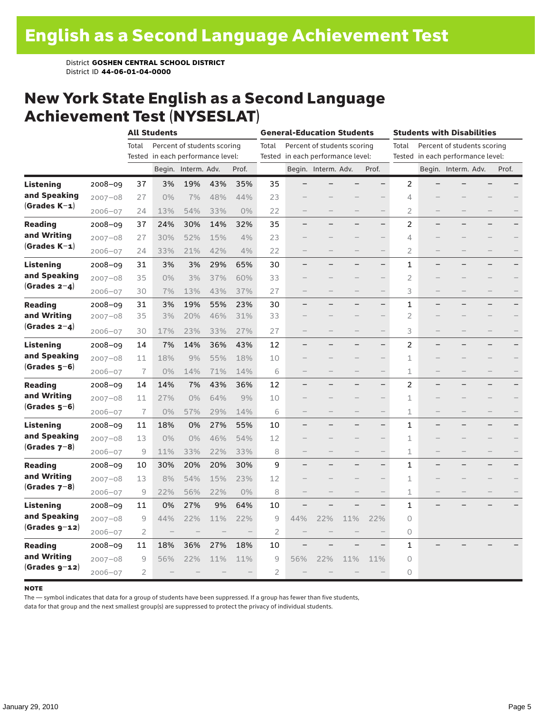### New York State English as a Second Language Achievement Test (NYSESLAT)

|                  |             |                | <b>All Students</b>               |                     |                             |       | <b>General-Education Students</b><br><b>Students with Disabilities</b> |                                   |                     |                             |                          |                |                                   |       |
|------------------|-------------|----------------|-----------------------------------|---------------------|-----------------------------|-------|------------------------------------------------------------------------|-----------------------------------|---------------------|-----------------------------|--------------------------|----------------|-----------------------------------|-------|
|                  |             | Total          |                                   |                     | Percent of students scoring |       | Total                                                                  |                                   |                     | Percent of students scoring |                          | Total          | Percent of students scoring       |       |
|                  |             |                | Tested in each performance level: |                     |                             |       |                                                                        | Tested in each performance level: |                     |                             |                          |                | Tested in each performance level: |       |
|                  |             |                |                                   | Begin. Interm. Adv. |                             | Prof. |                                                                        |                                   | Begin. Interm. Adv. |                             | Prof.                    |                | Begin. Interm. Adv.               | Prof. |
| <b>Listening</b> | $2008 - 09$ | 37             | 3%                                | 19%                 | 43%                         | 35%   | 35                                                                     |                                   |                     |                             |                          | 2              |                                   |       |
| and Speaking     | $2007 - 08$ | 27             | 0%                                | 7%                  | 48%                         | 44%   | 23                                                                     |                                   |                     |                             |                          | 4              |                                   |       |
| $(Grades K-1)$   | $2006 - 07$ | 24             | 13%                               | 54%                 | 33%                         | 0%    | 22                                                                     |                                   |                     |                             |                          | $\overline{2}$ |                                   |       |
| <b>Reading</b>   | $2008 - 09$ | 37             | 24%                               | 30%                 | 14%                         | 32%   | 35                                                                     |                                   |                     |                             | $\overline{\phantom{0}}$ | 2              |                                   |       |
| and Writing      | $2007 - 08$ | 27             | 30%                               | 52%                 | 15%                         | 4%    | 23                                                                     |                                   |                     |                             |                          | 4              |                                   |       |
| $(Grades K-1)$   | $2006 - 07$ | 24             | 33%                               | 21%                 | 42%                         | 4%    | 22                                                                     |                                   |                     |                             | $\overline{\phantom{0}}$ | 2              |                                   |       |
| Listening        | $2008 - 09$ | 31             | 3%                                | 3%                  | 29%                         | 65%   | 30                                                                     |                                   |                     |                             | -                        | 1              |                                   |       |
| and Speaking     | $2007 - 08$ | 35             | 0%                                | 3%                  | 37%                         | 60%   | 33                                                                     |                                   |                     |                             |                          | $\overline{2}$ |                                   |       |
| $(Grades 2-4)$   | $2006 - 07$ | 30             | 7%                                | 13%                 | 43%                         | 37%   | 27                                                                     |                                   |                     |                             | $\overline{\phantom{0}}$ | 3              |                                   |       |
| <b>Reading</b>   | $2008 - 09$ | 31             | 3%                                | 19%                 | 55%                         | 23%   | 30                                                                     |                                   |                     |                             | $\overline{\phantom{0}}$ | $\mathbf 1$    |                                   |       |
| and Writing      | $2007 - 08$ | 35             | 3%                                | 20%                 | 46%                         | 31%   | 33                                                                     |                                   |                     |                             | $\overline{\phantom{0}}$ | $\overline{2}$ |                                   |       |
| $(Grades 2-4)$   | $2006 - 07$ | 30             | 17%                               | 23%                 | 33%                         | 27%   | 27                                                                     |                                   |                     |                             | $\qquad \qquad -$        | 3              |                                   |       |
| <b>Listening</b> | $2008 - 09$ | 14             | 7%                                | 14%                 | 36%                         | 43%   | 12                                                                     |                                   |                     |                             | $\overline{\phantom{0}}$ | 2              |                                   |       |
| and Speaking     | $2007 - 08$ | 11             | 18%                               | 9%                  | 55%                         | 18%   | 10                                                                     |                                   |                     |                             | $\overline{\phantom{0}}$ | 1              |                                   |       |
| $(Grades 5-6)$   | $2006 - 07$ | $\overline{1}$ | 0%                                | 14%                 | 71%                         | 14%   | 6                                                                      |                                   |                     |                             | $\overline{\phantom{0}}$ | 1              |                                   |       |
| <b>Reading</b>   | $2008 - 09$ | 14             | 14%                               | 7%                  | 43%                         | 36%   | 12                                                                     |                                   |                     |                             | -                        | 2              |                                   |       |
| and Writing      | $2007 - 08$ | 11             | 27%                               | 0%                  | 64%                         | 9%    | 10                                                                     |                                   |                     |                             | $\qquad \qquad -$        | 1              |                                   |       |
| $(Grades 5-6)$   | $2006 - 07$ | $\overline{1}$ | $0\%$                             | 57%                 | 29%                         | 14%   | 6                                                                      |                                   |                     |                             | $\qquad \qquad -$        | $\mathbf 1$    |                                   |       |
| Listening        | 2008-09     | 11             | 18%                               | 0%                  | 27%                         | 55%   | 10                                                                     |                                   |                     |                             | $\overline{\phantom{0}}$ | $\mathbf{1}$   |                                   |       |
| and Speaking     | $2007 - 08$ | 13             | 0%                                | 0%                  | 46%                         | 54%   | 12                                                                     |                                   |                     |                             |                          | $\mathbf 1$    |                                   |       |
| $(Grades 7-8)$   | $2006 - 07$ | 9              | 11%                               | 33%                 | 22%                         | 33%   | 8                                                                      |                                   |                     |                             | $\qquad \qquad -$        | 1              |                                   |       |
| <b>Reading</b>   | 2008-09     | 10             | 30%                               | 20%                 | 20%                         | 30%   | 9                                                                      |                                   |                     |                             |                          | 1              |                                   |       |
| and Writing      | $2007 - 08$ | 13             | 8%                                | 54%                 | 15%                         | 23%   | 12                                                                     |                                   |                     |                             | $\overline{\phantom{0}}$ | 1              |                                   |       |
| (Grades $7-8$ )  | $2006 - 07$ | 9              | 22%                               | 56%                 | 22%                         | 0%    | 8                                                                      |                                   |                     |                             |                          | $\mathbf 1$    |                                   |       |
| <b>Listening</b> | $2008 - 09$ | 11             | 0%                                | 27%                 | 9%                          | 64%   | 10                                                                     |                                   |                     |                             |                          | 1              |                                   |       |
| and Speaking     | $2007 - 08$ | 9              | 44%                               | 22%                 | 11%                         | 22%   | 9                                                                      | 44%                               | 22%                 | 11%                         | 22%                      | 0              |                                   |       |
| $(Grades g-12)$  | $2006 - 07$ | $\overline{2}$ |                                   |                     |                             |       | 2                                                                      |                                   |                     |                             |                          | 0              |                                   |       |
| <b>Reading</b>   | $2008 - 09$ | 11             | 18%                               | 36%                 | 27%                         | 18%   | 10                                                                     |                                   |                     |                             |                          | 1              |                                   |       |
| and Writing      | $2007 - 08$ | 9              | 56%                               | 22%                 | 11%                         | 11%   | $\overline{9}$                                                         | 56%                               | 22%                 | 11%                         | 11%                      | 0              |                                   |       |
| $(Grades g-12)$  | $2006 - 07$ | 2              |                                   |                     |                             |       | 2                                                                      |                                   |                     |                             |                          | 0              |                                   |       |

#### **NOTE**

The — symbol indicates that data for a group of students have been suppressed. If a group has fewer than five students,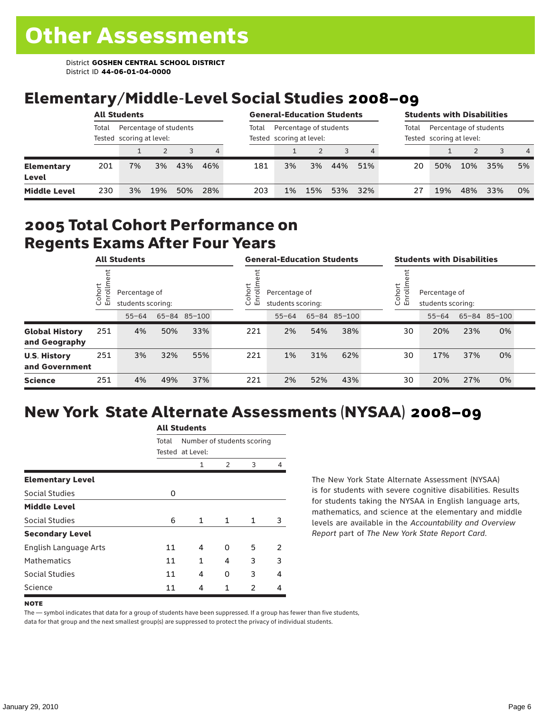# Elementary/Middle-Level Social Studies 2008–09

|                            | <b>All Students</b> |    |                                                    |     | <b>General-Education Students</b> |       |                                                    |           |     | <b>Students with Disabilities</b> |                                                    |     |     |     |                |
|----------------------------|---------------------|----|----------------------------------------------------|-----|-----------------------------------|-------|----------------------------------------------------|-----------|-----|-----------------------------------|----------------------------------------------------|-----|-----|-----|----------------|
|                            | Total               |    | Percentage of students<br>Tested scoring at level: |     |                                   | Total | Percentage of students<br>Tested scoring at level: |           |     | Total                             | Percentage of students<br>Tested scoring at level: |     |     |     |                |
|                            |                     |    |                                                    |     | 4                                 |       |                                                    |           |     |                                   |                                                    |     |     |     | $\overline{4}$ |
| <b>Elementary</b><br>Level | 201                 | 7% | 3%                                                 | 43% | 46%                               | 181   | 3%                                                 | <b>3%</b> | 44% | 51%                               | 20                                                 | 50% | 10% | 35% | 5%             |
| <b>Middle Level</b>        | 230                 | 3% | 19%                                                | 50% | 28%                               | 203   | 1%                                                 | 15%       | 53% | 32%                               |                                                    | 19% | 48% | 33% | 0%             |

### 2005 Total Cohort Performance on Regents Exams After Four Years

|                                        |                        | <b>All Students</b>                |     |              | <b>General-Education Students</b> |                                    |     |              | <b>Students with Disabilities</b> |                                    |     |              |  |
|----------------------------------------|------------------------|------------------------------------|-----|--------------|-----------------------------------|------------------------------------|-----|--------------|-----------------------------------|------------------------------------|-----|--------------|--|
|                                        | Cohort<br>$\circ$<br>屲 | Percentage of<br>students scoring: |     |              | Cohort<br>ō<br>멷                  | Percentage of<br>students scoring: |     |              | Cohort<br>9<br>문                  | Percentage of<br>students scoring: |     |              |  |
|                                        |                        | $55 - 64$                          |     | 65-84 85-100 |                                   | $55 - 64$                          |     | 65-84 85-100 |                                   | $55 - 64$                          |     | 65-84 85-100 |  |
| <b>Global History</b><br>and Geography | 251                    | 4%                                 | 50% | 33%          | 221                               | 2%                                 | 54% | 38%          | 30                                | 20%                                | 23% | 0%           |  |
| <b>U.S. History</b><br>and Government  | 251                    | 3%                                 | 32% | 55%          | 221                               | 1%                                 | 31% | 62%          | 30                                | 17%                                | 37% | 0%           |  |
| <b>Science</b>                         | 251                    | 4%                                 | 49% | 37%          | 221                               | 2%                                 | 52% | 43%          | 30                                | 20%                                | 27% | 0%           |  |

# New York State Alternate Assessments (NYSAA) 2008–09

| AIL SLUUEIILS |   |                  |   |                            |  |  |  |  |  |
|---------------|---|------------------|---|----------------------------|--|--|--|--|--|
| Total         |   |                  |   |                            |  |  |  |  |  |
|               |   |                  |   |                            |  |  |  |  |  |
|               | 1 | 2                | 3 | 4                          |  |  |  |  |  |
|               |   |                  |   |                            |  |  |  |  |  |
| O             |   |                  |   |                            |  |  |  |  |  |
|               |   |                  |   |                            |  |  |  |  |  |
| 6             | 1 | 1                | 1 | 3                          |  |  |  |  |  |
|               |   |                  |   |                            |  |  |  |  |  |
| 11            | 4 | O                | 5 | 2                          |  |  |  |  |  |
| 11            | 1 | 4                | 3 | 3                          |  |  |  |  |  |
| 11            | 4 | 0                | 3 | 4                          |  |  |  |  |  |
| 11            | 4 | 1                | 2 | 4                          |  |  |  |  |  |
|               |   | Tested at Level: |   | Number of students scoring |  |  |  |  |  |

All C<sub>tude</sub>

The New York State Alternate Assessment (NYSAA) is for students with severe cognitive disabilities. Results for students taking the NYSAA in English language arts, mathematics, and science at the elementary and middle levels are available in the *Accountability and Overview Report* part of *The New York State Report Card*.

### **NOTE**

The — symbol indicates that data for a group of students have been suppressed. If a group has fewer than five students, data for that group and the next smallest group(s) are suppressed to protect the privacy of individual students.